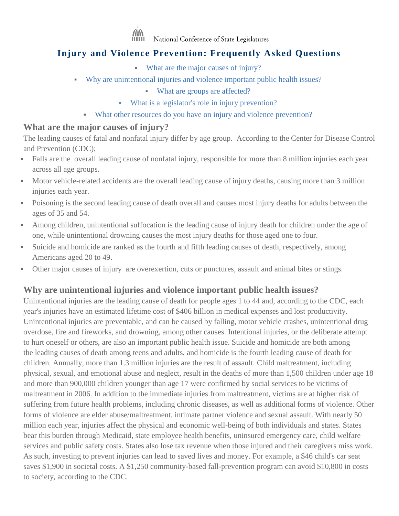

National Conference of State Legislatures

# **Injury and Violence Prevention: Frequently Asked Questions**

- [What are the major causes of injury?](#page-0-0)
- [Why are unintentional injuries and violence important public health issues?](#page-0-1)
	- [What are groups are affected?](#page-1-0)
	- [What is a legislator's role in injury prevention?](#page-1-1)
	- [What other resources do you have on injury and violence prevention?](#page-1-2)

#### <span id="page-0-0"></span>**What are the major causes of injury?**

The leading causes of fatal and nonfatal injury differ by age group. According to the Center for Disease Control and Prevention (CDC);

- Falls are the overall leading cause of nonfatal injury, responsible for more than 8 million injuries each year across all age groups.
- Motor vehicle-related accidents are the overall leading cause of injury deaths, causing more than 3 million injuries each year.
- Poisoning is the second leading cause of death overall and causes most injury deaths for adults between the ages of 35 and 54.
- Among children, unintentional suffocation is the leading cause of injury death for children under the age of one, while unintentional drowning causes the most injury deaths for those aged one to four.
- Suicide and homicide are ranked as the fourth and fifth leading causes of death, respectively, among Americans aged 20 to 49.
- Other major causes of injury are overexertion, cuts or punctures, assault and animal bites or stings.

### <span id="page-0-1"></span>**Why are unintentional injuries and violence important public health issues?**

Unintentional injuries are the leading cause of death for people ages 1 to 44 and, according to the CDC, each year's injuries have an estimated lifetime cost of \$406 billion in medical expenses and lost productivity. Unintentional injuries are preventable, and can be caused by falling, motor vehicle crashes, unintentional drug overdose, fire and fireworks, and drowning, among other causes. Intentional injuries, or the deliberate attempt to hurt oneself or others, are also an important public health issue. Suicide and homicide are both among the leading causes of death among teens and adults, and homicide is the fourth leading cause of death for children. Annually, more than 1.3 million injuries are the result of assault. Child maltreatment, including physical, sexual, and emotional abuse and neglect, result in the deaths of more than 1,500 children under age 18 and more than 900,000 children younger than age 17 were confirmed by social services to be victims of maltreatment in 2006. In addition to the immediate injuries from maltreatment, victims are at higher risk of suffering from future health problems, including chronic diseases, as well as additional forms of violence. Other forms of violence are elder abuse/maltreatment, intimate partner violence and sexual assault. With nearly 50 million each year, injuries affect the physical and economic well-being of both individuals and states. States bear this burden through Medicaid, state employee health benefits, uninsured emergency care, child welfare services and public safety costs. States also lose tax revenue when those injured and their caregivers miss work. As such, investing to prevent injuries can lead to saved lives and money. For example, a \$46 child's car seat saves \$1,900 in societal costs. A \$1,250 community-based fall-prevention program can avoid \$10,800 in costs to society, according to the CDC.